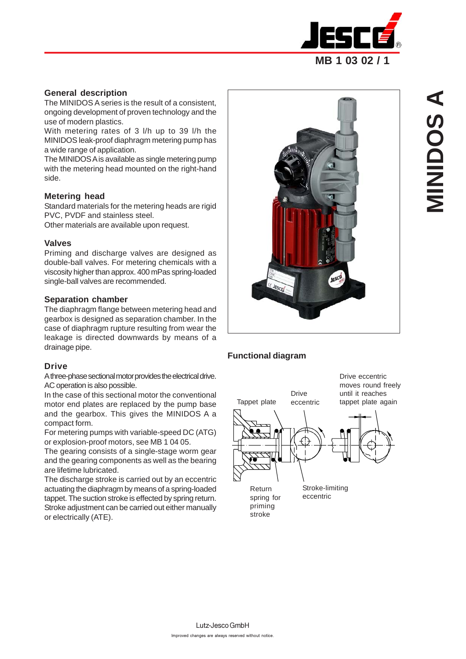

# **General description**

The MINIDOS A series is the result of a consistent, ongoing development of proven technology and the use of modern plastics.

With metering rates of 3 l/h up to 39 l/h the MINIDOS leak-proof diaphragm metering pump has a wide range of application.

The MINIDOS A is available as single metering pump with the metering head mounted on the right-hand side.

# **Metering head**

Standard materials for the metering heads are rigid PVC, PVDF and stainless steel.

Other materials are available upon request.

# **Valves**

Priming and discharge valves are designed as double-ball valves. For metering chemicals with a viscosity higher than approx. 400 mPas spring-loaded single-ball valves are recommended.

# **Separation chamber**

The diaphragm flange between metering head and gearbox is designed as separation chamber. In the case of diaphragm rupture resulting from wear the leakage is directed downwards by means of a drainage pipe.

# **Drive**

A three-phase sectional motor provides the electrical drive. AC operation is also possible.

In the case of this sectional motor the conventional motor end plates are replaced by the pump base and the gearbox. This gives the MINIDOS A a compact form.

For metering pumps with variable-speed DC (ATG) or explosion-proof motors, see MB 1 04 05.

The gearing consists of a single-stage worm gear and the gearing components as well as the bearing are lifetime lubricated.

The discharge stroke is carried out by an eccentric actuating the diaphragm by means of a spring-loaded tappet. The suction stroke is effected by spring return. Stroke adjustment can be carried out either manually or electrically (ATE).



# **Functional diagram**

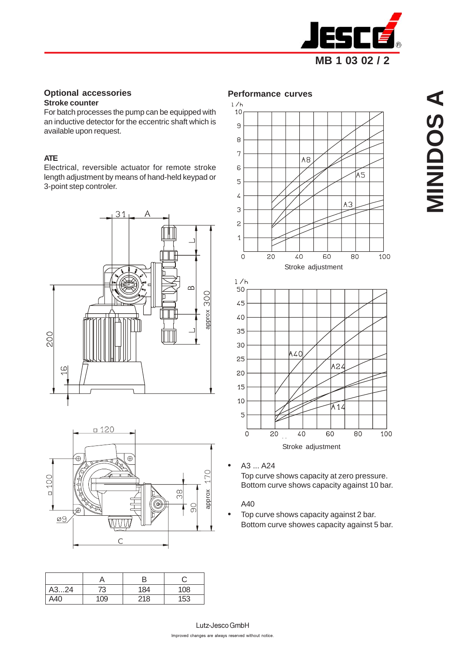

#### **Optional accessories Stroke counter**

For batch processes the pump can be equipped with an inductive detector for the eccentric shaft which is available upon request.

#### **ATE**

Electrical, reversible actuator for remote stroke length adjustment by means of hand-held keypad or 3-point step controler.





| A324 | 73  | 184 | 108 |
|------|-----|-----|-----|
| A40  | 109 | 218 | 153 |





• A3 ... A24

Top curve shows capacity at zero pressure. Bottom curve shows capacity against 10 bar.

### A40

• Top curve shows capacity against 2 bar. Bottom curve showes capacity against 5 bar.

Lutz-Jesco GmbH Improved changes are always reserved without notice.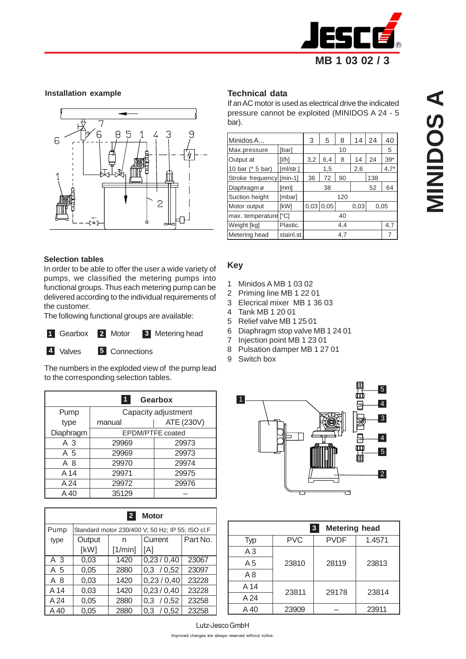

#### **Installation example**



#### **Selection tables**

In order to be able to offer the user a wide variety of pumps, we classified the metering pumps into functional groups. Thus each metering pump can be delivered according to the individual requirements of the customer.

The following functional groups are available:

|--|--|

#### **2** Motor Gearbox 2 Motor 3 Metering head

**4** Valves 5 Connections

The numbers in the exploded view of the pump lead to the corresponding selection tables.

|           |                      | <b>Gearbox</b>      |  |  |  |  |
|-----------|----------------------|---------------------|--|--|--|--|
| Pump      |                      | Capacity adjustment |  |  |  |  |
| type      | ATE (230V)<br>manual |                     |  |  |  |  |
| Diaphragm | EPDM/PTFE coated     |                     |  |  |  |  |
| A 3       | 29969                | 29973               |  |  |  |  |
| A 5       | 29969                | 29973               |  |  |  |  |
| A 8       | 29970                | 29974               |  |  |  |  |
| A 14      | 29971                | 29975               |  |  |  |  |
| A 24      | 29972                | 29976               |  |  |  |  |
| A 40      | 35129                |                     |  |  |  |  |

| $\overline{2}$<br><b>Motor</b> |        |                                                  |               |          |  |  |  |  |  |
|--------------------------------|--------|--------------------------------------------------|---------------|----------|--|--|--|--|--|
| Pump                           |        | Standard motor 230/400 V; 50 Hz; IP 55; ISO cl.F |               |          |  |  |  |  |  |
| type                           | Output | n                                                | Current       | Part No. |  |  |  |  |  |
|                                | [kW]   | [1/min]                                          | [A]           |          |  |  |  |  |  |
| A 3                            | 0,03   | 1420                                             | 0,23/0,40     | 23067    |  |  |  |  |  |
| A 5                            | 0,05   | 2880                                             | 0,3 / 0,52    | 23097    |  |  |  |  |  |
| A 8                            | 0,03   | 1420                                             | 0,23/0,40     | 23228    |  |  |  |  |  |
| A 14                           | 0,03   | 1420                                             | 0,23/0,40     | 23228    |  |  |  |  |  |
| A 24                           | 0,05   | 2880                                             | 0,3 / 0,52    | 23258    |  |  |  |  |  |
| A 40                           | 0.05   | 2880                                             | 0.3<br>/ 0.52 | 23258    |  |  |  |  |  |

### **Technical data**

If an AC motor is used as electrical drive the indicated pressure cannot be exploited (MINIDOS A 24 - 5 bar).

| Minidos A                | 3          | 5   | 8         | 14  | 24   | 40  |        |
|--------------------------|------------|-----|-----------|-----|------|-----|--------|
| Max.pressure             |            |     | 10        |     |      | 5   |        |
| Output at                | [1/h]      | 3,2 | 6,4<br>8  |     |      | 24  | $39*$  |
| 10 bar (* 5 bar)         | [ml/str.]  |     | 1,5       |     | 2,6  |     | $4,7*$ |
| Stroke frequency [min-1] |            | 36  | 72        | 90  |      | 138 |        |
| Diaphragm ø              | [mm]       | 38  |           |     | 52   | 64  |        |
| Suction height           | [mbar]     |     |           | 120 |      |     |        |
| Motor output             | [kW]       |     | 0.03 0.05 |     | 0.03 |     | 0.05   |
| max. temperature [°C]    |            |     |           | 40  |      |     |        |
| Weight [kg]              | Plastic.   |     |           | 4.4 |      |     | 4,7    |
| Metering head            | stainl.st. | 4,7 |           |     |      |     |        |

#### **Key**

- 1 Minidos A MB 1 03 02
- 2 Priming line MB 1 22 01
- 3 Elecrical mixer MB 1 36 03
- 4 Tank MB 1 20 01
- 5 Relief valve MB 1 25 01
- 6 Diaphragm stop valve MB 1 24 01
- 7 Injection point MB 1 23 01
- 8 Pulsation damper MB 1 27 01
- 9 Switch box



|                |            | <b>Metering head</b><br>$\mathbf{3}$ |        |  |
|----------------|------------|--------------------------------------|--------|--|
| Typ            | <b>PVC</b> | <b>PVDF</b>                          | 1.4571 |  |
| A3             |            |                                      |        |  |
| A <sub>5</sub> | 23810      | 28119                                | 23813  |  |
| A8             |            |                                      |        |  |
| A 14           | 23811      | 29178                                |        |  |
| A 24           |            |                                      | 23814  |  |
| A 40           | 23909      |                                      | 23911  |  |

Lutz-Jesco GmbH Improved changes are always reserved without notice.